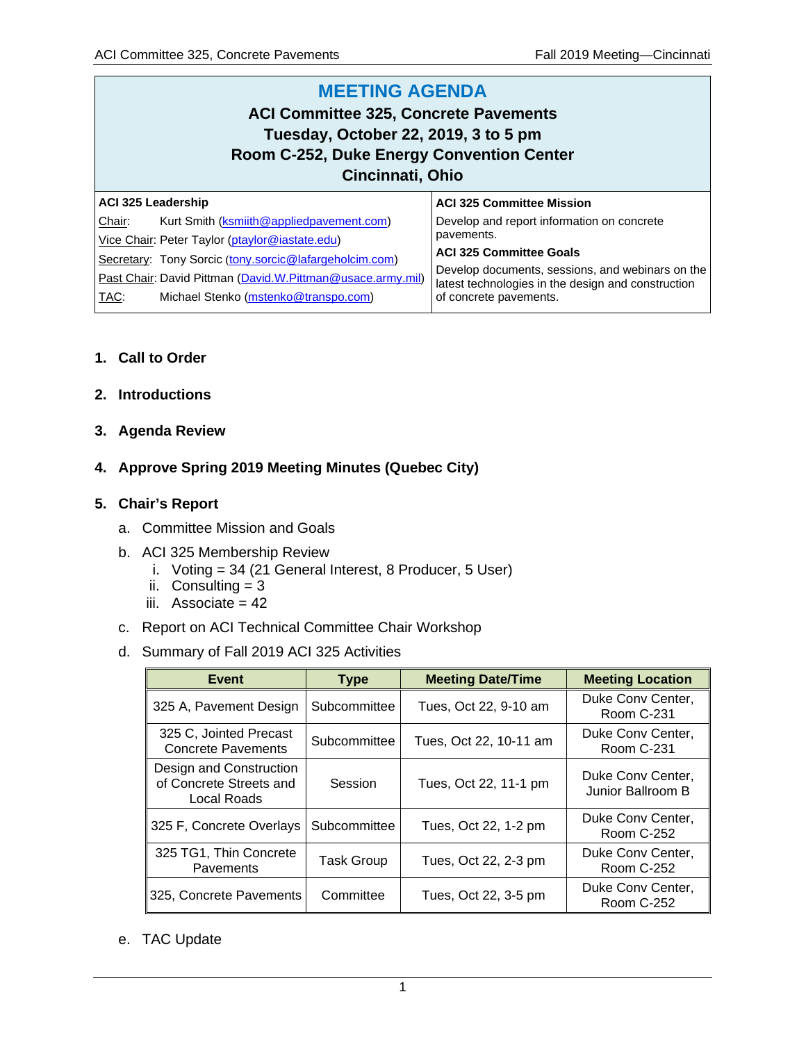#### **MEETING AGENDA ACI Committee 325, Concrete Pavements Tuesday, October 22, 2019, 3 to 5 pm Room C-252, Duke Energy Convention Center Cincinnati, Ohio ACI 325 Leadership** Chair: Kurt Smith [\(ksmiith@appliedpavement.com\)](mailto:ksmiith@appliedpavement.com) Vice Chair: Peter Taylor [\(ptaylor@iastate.edu\)](mailto:ptaylor@iastate.edu) Secretary: Tony Sorcic ([tony.sorcic@lafargeholcim.com\)](mailto:tony.sorcic@lafargeholcim.com) Past Chair: David Pittman [\(David.W.Pittman@usace.army.mil\)](mailto:David.W.Pittman@usace.army.mil) TAC: Michael Stenko [\(mstenko@transpo.com\)](mailto:mstenko@transpo.com) **ACI 325 Committee Mission** Develop and report information on concrete pavements. **ACI 325 Committee Goals** Develop documents, sessions, and webinars on the latest technologies in the design and construction of concrete pavements.

# **1. Call to Order**

- **2. Introductions**
- **3. Agenda Review**
- **4. Approve Spring 2019 Meeting Minutes (Quebec City)**

# **5. Chair's Report**

- a. Committee Mission and Goals
- b. ACI 325 Membership Review
	- i. Voting = 34 (21 General Interest, 8 Producer, 5 User)
	- ii. Consulting  $= 3$
	- iii. Associate  $= 42$
- c. Report on ACI Technical Committee Chair Workshop
- d. Summary of Fall 2019 ACI 325 Activities

| Event                                                             | <b>Type</b>       | <b>Meeting Date/Time</b> | <b>Meeting Location</b>                |
|-------------------------------------------------------------------|-------------------|--------------------------|----------------------------------------|
| 325 A, Pavement Design                                            | Subcommittee      | Tues, Oct 22, 9-10 am    | Duke Conv Center,<br><b>Room C-231</b> |
| 325 C, Jointed Precast<br><b>Concrete Pavements</b>               | Subcommittee      | Tues, Oct 22, 10-11 am   | Duke Conv Center,<br><b>Room C-231</b> |
| Design and Construction<br>of Concrete Streets and<br>Local Roads | Session           | Tues, Oct 22, 11-1 pm    | Duke Conv Center,<br>Junior Ballroom B |
| 325 F, Concrete Overlays                                          | Subcommittee      | Tues, Oct 22, 1-2 pm     | Duke Conv Center,<br>Room C-252        |
| 325 TG1, Thin Concrete<br>Pavements                               | <b>Task Group</b> | Tues, Oct 22, 2-3 pm     | Duke Conv Center,<br><b>Room C-252</b> |
| 325, Concrete Pavements                                           | Committee         | Tues, Oct 22, 3-5 pm     | Duke Conv Center,<br><b>Room C-252</b> |

### e. TAC Update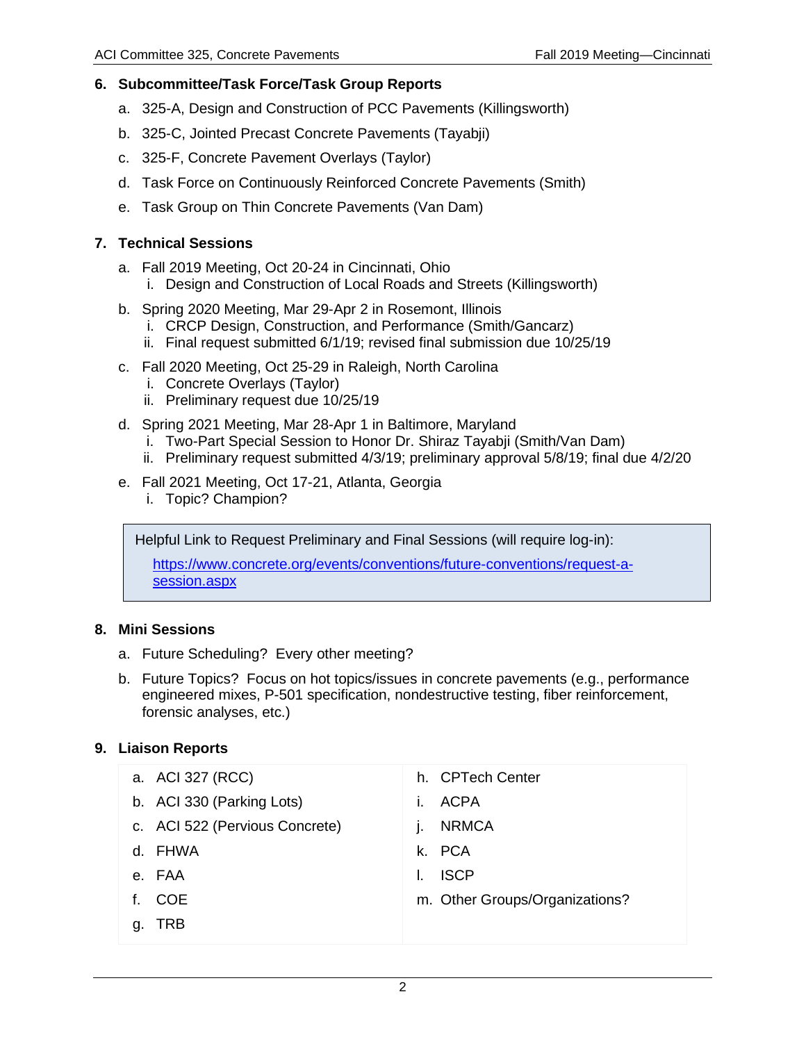# **6. Subcommittee/Task Force/Task Group Reports**

- a. 325-A, Design and Construction of PCC Pavements (Killingsworth)
- b. 325-C, Jointed Precast Concrete Pavements (Tayabji)
- c. 325-F, Concrete Pavement Overlays (Taylor)
- d. Task Force on Continuously Reinforced Concrete Pavements (Smith)
- e. Task Group on Thin Concrete Pavements (Van Dam)

# **7. Technical Sessions**

- a. Fall 2019 Meeting, Oct 20-24 in Cincinnati, Ohio
	- i. Design and Construction of Local Roads and Streets (Killingsworth)
- b. Spring 2020 Meeting, Mar 29-Apr 2 in Rosemont, Illinois
	- i. CRCP Design, Construction, and Performance (Smith/Gancarz)
	- ii. Final request submitted 6/1/19; revised final submission due 10/25/19
- c. Fall 2020 Meeting, Oct 25-29 in Raleigh, North Carolina
	- i. Concrete Overlays (Taylor)
	- ii. Preliminary request due 10/25/19
- d. Spring 2021 Meeting, Mar 28-Apr 1 in Baltimore, Maryland
	- i. Two-Part Special Session to Honor Dr. Shiraz Tayabji (Smith/Van Dam)
	- ii. Preliminary request submitted 4/3/19; preliminary approval 5/8/19; final due 4/2/20
- e. Fall 2021 Meeting, Oct 17-21, Atlanta, Georgia
	- i. Topic? Champion?

Helpful Link to Request Preliminary and Final Sessions (will require log-in):

[https://www.concrete.org/events/conventions/future-conventions/request-a](https://www.concrete.org/events/conventions/future-conventions/request-a-session.aspx)[session.aspx](https://www.concrete.org/events/conventions/future-conventions/request-a-session.aspx)

### **8. Mini Sessions**

- a. Future Scheduling? Every other meeting?
- b. Future Topics? Focus on hot topics/issues in concrete pavements (e.g., performance engineered mixes, P-501 specification, nondestructive testing, fiber reinforcement, forensic analyses, etc.)

# **9. Liaison Reports**

|                                                                                            | h. CPTech Center               |
|--------------------------------------------------------------------------------------------|--------------------------------|
| $\mathbf{L}$                                                                               | <b>ACPA</b>                    |
|                                                                                            | <b>NRMCA</b>                   |
|                                                                                            | k. PCA                         |
|                                                                                            | <b>ISCP</b>                    |
|                                                                                            | m. Other Groups/Organizations? |
|                                                                                            |                                |
| a. ACI 327 (RCC)<br>b. ACI 330 (Parking Lots)<br>c. ACI 522 (Pervious Concrete)<br>d. FHWA |                                |